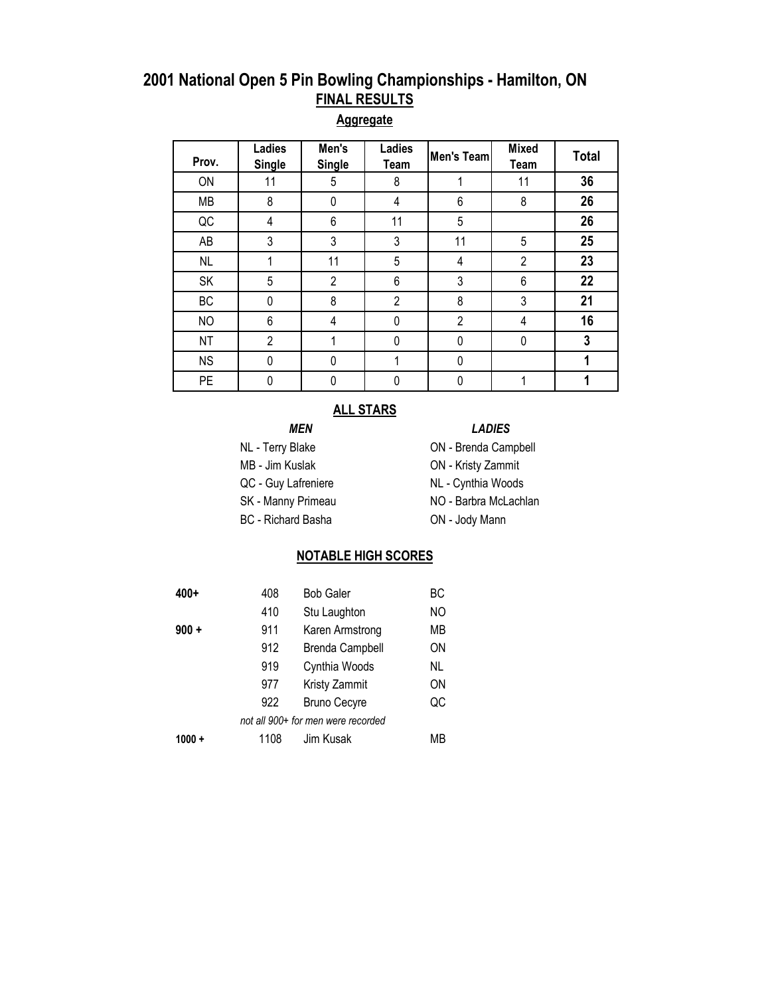#### **Aggregate**

| Prov.     | Ladies<br><b>Single</b> | Men's<br><b>Single</b> | <b>Ladies</b><br>Team | Men's Team     | <b>Mixed</b><br>Team | <b>Total</b> |
|-----------|-------------------------|------------------------|-----------------------|----------------|----------------------|--------------|
| ON        | 11                      | 5                      | 8                     |                | 11                   | 36           |
| <b>MB</b> | 8                       | 0                      | 4                     | 6              | 8                    | 26           |
| QC        | 4                       | 6                      | 11                    | 5              |                      | 26           |
| AB        | 3                       | 3                      | 3                     | 11             | 5                    | 25           |
| <b>NL</b> |                         | 11                     | 5                     | 4              | $\overline{2}$       | 23           |
| SK        | 5                       | $\overline{2}$         | 6                     | 3              | 6                    | 22           |
| BC        | 0                       | 8                      | $\overline{2}$        | 8              | 3                    | 21           |
| <b>NO</b> | 6                       | 4                      | 0                     | $\overline{2}$ | 4                    | 16           |
| <b>NT</b> | $\overline{2}$          |                        | 0                     | 0              | 0                    | 3            |
| <b>NS</b> | 0                       | 0                      |                       | 0              |                      |              |
| <b>PE</b> | 0                       | 0                      |                       | 0              |                      |              |

#### **ALL STARS**

- 
- 
- BC Richard Basha **ON Jody Mann**

#### *MEN LADIES*

- NL Terry Blake **ON Brenda Campbell**
- MB Jim Kuslak ON Kristy Zammit
- QC Guy Lafreniere NL Cynthia Woods
- SK Manny Primeau NO Barbra McLachlan
	-

#### **NOTABLE HIGH SCORES**

| $400+$                             | 408  | <b>Bob Galer</b>       | ВC        |  |  |  |  |
|------------------------------------|------|------------------------|-----------|--|--|--|--|
|                                    | 410  | Stu Laughton           | <b>NO</b> |  |  |  |  |
| $900 +$                            | 911  | Karen Armstrong        | МB        |  |  |  |  |
|                                    | 912  | <b>Brenda Campbell</b> | ΟN        |  |  |  |  |
|                                    | 919  | Cynthia Woods          | NL        |  |  |  |  |
|                                    | 977  | Kristy Zammit          | ΟN        |  |  |  |  |
|                                    | 922  | <b>Bruno Cecyre</b>    | QC        |  |  |  |  |
| not all 900+ for men were recorded |      |                        |           |  |  |  |  |
| $1000 +$                           | 1108 | Jim Kusak              | МB        |  |  |  |  |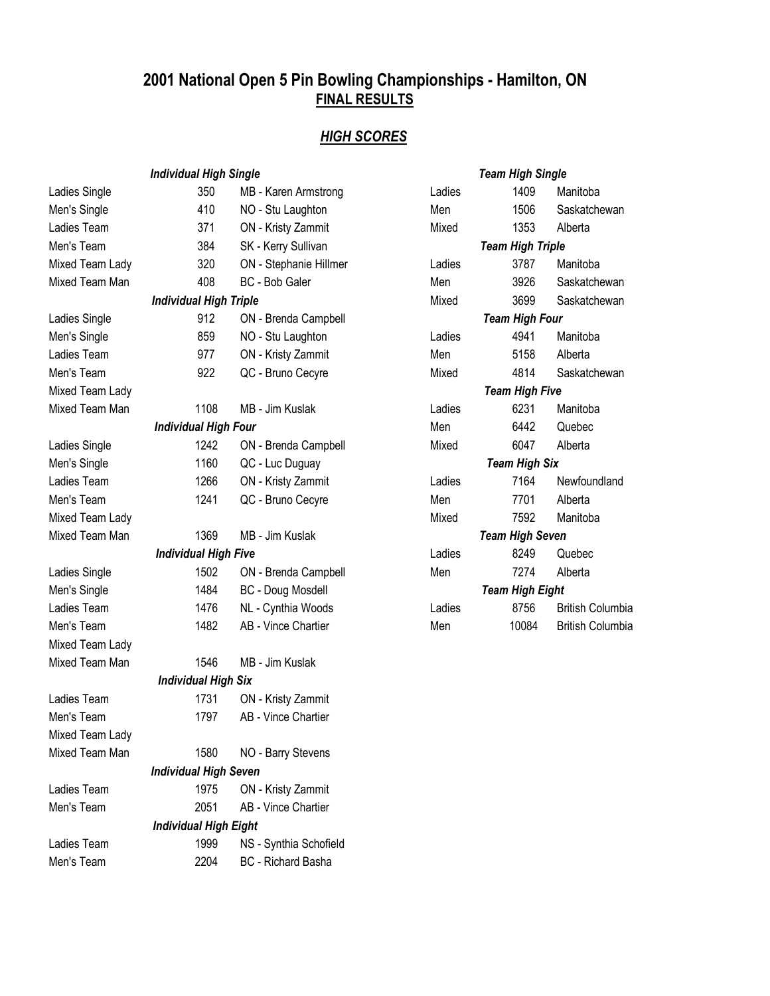## *HIGH SCORES*

|                 | <b>Individual High Single</b> |                          | <b>Team High Single</b> |                         |                         |  |
|-----------------|-------------------------------|--------------------------|-------------------------|-------------------------|-------------------------|--|
| Ladies Single   | 350                           | MB - Karen Armstrong     | Ladies                  | 1409                    | Manitoba                |  |
| Men's Single    | 410                           | NO - Stu Laughton        | Men                     | 1506                    | Saskatchewan            |  |
| Ladies Team     | 371                           | ON - Kristy Zammit       | Mixed                   | 1353                    | Alberta                 |  |
| Men's Team      | 384                           | SK - Kerry Sullivan      |                         | <b>Team High Triple</b> |                         |  |
| Mixed Team Lady | 320                           | ON - Stephanie Hillmer   | Ladies                  | 3787                    | Manitoba                |  |
| Mixed Team Man  | 408                           | BC - Bob Galer           | Men                     | 3926                    | Saskatchewan            |  |
|                 | <b>Individual High Triple</b> |                          | Mixed                   | 3699                    | Saskatchewan            |  |
| Ladies Single   | 912                           | ON - Brenda Campbell     |                         | <b>Team High Four</b>   |                         |  |
| Men's Single    | 859                           | NO - Stu Laughton        | Ladies                  | 4941                    | Manitoba                |  |
| Ladies Team     | 977                           | ON - Kristy Zammit       | Men                     | 5158                    | Alberta                 |  |
| Men's Team      | 922                           | QC - Bruno Cecyre        | Mixed                   | 4814                    | Saskatchewan            |  |
| Mixed Team Lady |                               |                          |                         | <b>Team High Five</b>   |                         |  |
| Mixed Team Man  | 1108                          | MB - Jim Kuslak          | Ladies                  | 6231                    | Manitoba                |  |
|                 | <b>Individual High Four</b>   |                          | Men                     | 6442                    | Quebec                  |  |
| Ladies Single   | 1242                          | ON - Brenda Campbell     | Mixed                   | 6047                    | Alberta                 |  |
| Men's Single    | 1160                          | QC - Luc Duguay          |                         | <b>Team High Six</b>    |                         |  |
| Ladies Team     | 1266                          | ON - Kristy Zammit       | Ladies                  | 7164                    | Newfoundland            |  |
| Men's Team      | 1241                          | QC - Bruno Cecyre        | Men                     | 7701                    | Alberta                 |  |
| Mixed Team Lady |                               |                          | Mixed                   | 7592                    | Manitoba                |  |
| Mixed Team Man  | 1369                          | MB - Jim Kuslak          | <b>Team High Seven</b>  |                         |                         |  |
|                 | <b>Individual High Five</b>   |                          | Ladies                  | 8249                    | Quebec                  |  |
| Ladies Single   | 1502                          | ON - Brenda Campbell     | Men                     | 7274                    | Alberta                 |  |
| Men's Single    | 1484                          | <b>BC</b> - Doug Mosdell |                         | <b>Team High Eight</b>  |                         |  |
| Ladies Team     | 1476                          | NL - Cynthia Woods       | Ladies                  | 8756                    | <b>British Columbia</b> |  |
| Men's Team      | 1482                          | AB - Vince Chartier      | Men                     | 10084                   | <b>British Columbia</b> |  |
| Mixed Team Lady |                               |                          |                         |                         |                         |  |
| Mixed Team Man  | 1546                          | MB - Jim Kuslak          |                         |                         |                         |  |
|                 | <b>Individual High Six</b>    |                          |                         |                         |                         |  |
| Ladies Team     | 1731                          | ON - Kristy Zammit       |                         |                         |                         |  |
| Men's Team      | 1797                          | AB - Vince Chartier      |                         |                         |                         |  |
| Mixed Team Lady |                               |                          |                         |                         |                         |  |
| Mixed Team Man  | 1580                          | NO - Barry Stevens       |                         |                         |                         |  |
|                 | <b>Individual High Seven</b>  |                          |                         |                         |                         |  |
| Ladies Team     | 1975                          | ON - Kristy Zammit       |                         |                         |                         |  |
| Men's Team      | 2051                          | AB - Vince Chartier      |                         |                         |                         |  |
|                 | <b>Individual High Eight</b>  |                          |                         |                         |                         |  |
| Ladies Team     | 1999                          | NS - Synthia Schofield   |                         |                         |                         |  |
| Men's Team      | 2204                          | BC - Richard Basha       |                         |                         |                         |  |

|                        | <b>Team High Single</b> |                        |  |  |  |  |  |  |
|------------------------|-------------------------|------------------------|--|--|--|--|--|--|
| Ladies                 | 1409 —                  | Manitoba               |  |  |  |  |  |  |
| Men                    |                         | 1506 Saskatchewan      |  |  |  |  |  |  |
| Mixed                  | 1353                    | Alberta                |  |  |  |  |  |  |
|                        | <b>Team High Triple</b> |                        |  |  |  |  |  |  |
| Ladies                 |                         | 3787 Manitoba          |  |  |  |  |  |  |
| Men                    | 3926                    | Saskatchewan           |  |  |  |  |  |  |
| Mixed                  |                         | 3699 Saskatchewan      |  |  |  |  |  |  |
|                        | <b>Team High Four</b>   |                        |  |  |  |  |  |  |
| Ladies                 |                         | 4941 Manitoba          |  |  |  |  |  |  |
| Men                    | 5158                    | Alberta                |  |  |  |  |  |  |
| Mixed                  |                         | 4814 Saskatchewan      |  |  |  |  |  |  |
|                        | <b>Team High Five</b>   |                        |  |  |  |  |  |  |
| Ladies                 |                         | 6231 Manitoba          |  |  |  |  |  |  |
| Men                    |                         | 6442 Quebec            |  |  |  |  |  |  |
| Mixed                  | 6047                    | Alberta                |  |  |  |  |  |  |
|                        | <b>Team High Six</b>    |                        |  |  |  |  |  |  |
| Ladies                 |                         | 7164 Newfoundland      |  |  |  |  |  |  |
| Men                    |                         | 7701 Alberta           |  |  |  |  |  |  |
| Mixed                  |                         | 7592 Manitoba          |  |  |  |  |  |  |
|                        | <b>Team High Seven</b>  |                        |  |  |  |  |  |  |
| Ladies                 | 8249                    | Quebec                 |  |  |  |  |  |  |
| Men                    |                         | 7274 Alberta           |  |  |  |  |  |  |
| <b>Team High Eight</b> |                         |                        |  |  |  |  |  |  |
| Ladies                 |                         | 8756 British Columbia  |  |  |  |  |  |  |
| Men                    |                         | 10084 British Columbia |  |  |  |  |  |  |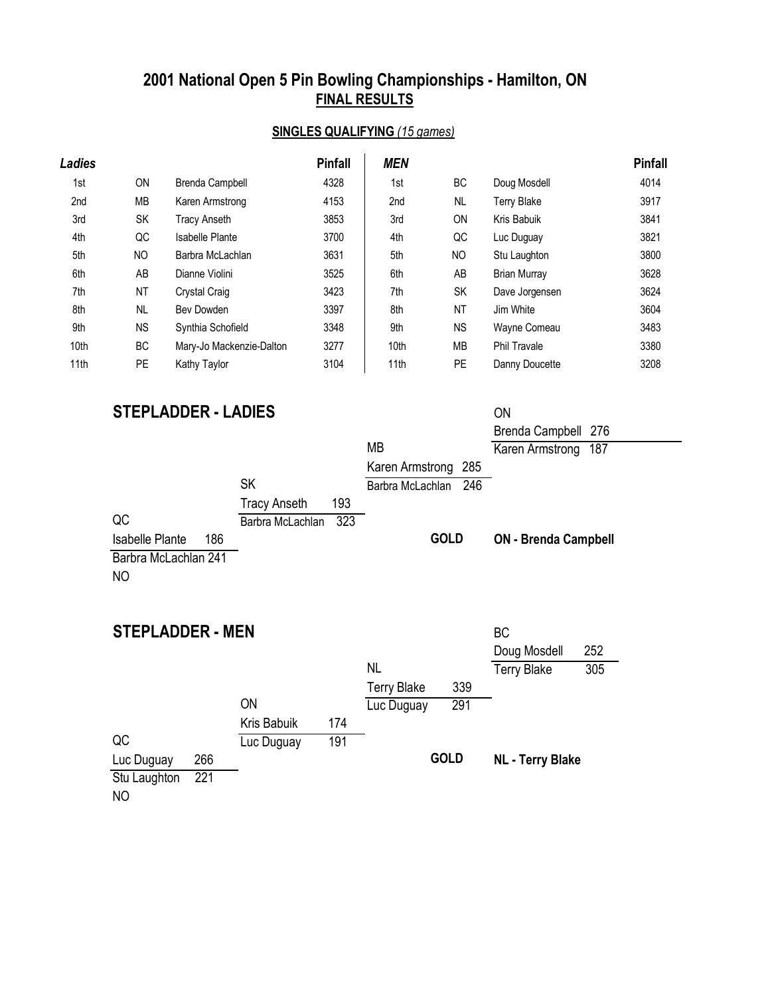### **SINGLES QUALIFYING** *(15 games)*

| Ladies |           |                          | <b>Pinfall</b> | <b>MEN</b> |                |                     | <b>Pinfall</b> |
|--------|-----------|--------------------------|----------------|------------|----------------|---------------------|----------------|
| 1st    | <b>ON</b> | Brenda Campbell          | 4328           | 1st        | BC             | Doug Mosdell        | 4014           |
| 2nd    | MВ        | Karen Armstrong          | 4153           | 2nd        | <b>NL</b>      | <b>Terry Blake</b>  | 3917           |
| 3rd    | <b>SK</b> | Tracy Anseth             | 3853           | 3rd        | <b>ON</b>      | Kris Babuik         | 3841           |
| 4th    | QC        | Isabelle Plante          | 3700           | 4th        | QC             | Luc Duguay          | 3821           |
| 5th    | NO        | Barbra McLachlan         | 3631           | 5th        | N <sub>O</sub> | Stu Laughton        | 3800           |
| 6th    | AB        | Dianne Violini           | 3525           | 6th        | AB             | <b>Brian Murray</b> | 3628           |
| 7th    | NT        | <b>Crystal Craig</b>     | 3423           | 7th        | <b>SK</b>      | Dave Jorgensen      | 3624           |
| 8th    | <b>NL</b> | Bev Dowden               | 3397           | 8th        | <b>NT</b>      | Jim White           | 3604           |
| 9th    | <b>NS</b> | Synthia Schofield        | 3348           | 9th        | <b>NS</b>      | Wayne Comeau        | 3483           |
| 10th   | <b>BC</b> | Mary-Jo Mackenzie-Dalton | 3277           | 10th       | <b>MB</b>      | <b>Phil Travale</b> | 3380           |
| 11th   | <b>PE</b> | Kathy Taylor             | 3104           | 11th       | <b>PE</b>      | Danny Doucette      | 3208           |

## **STEPLADDER - LADIES**

| <b>STEPLADDER - LADIES</b>                                              |                                                                    |                                                   | <b>ON</b><br>Brenda Campbell 276                              |
|-------------------------------------------------------------------------|--------------------------------------------------------------------|---------------------------------------------------|---------------------------------------------------------------|
| QC                                                                      | <b>SK</b><br>193<br><b>Tracy Anseth</b><br>323<br>Barbra McLachlan | MB<br>Karen Armstrong 285<br>Barbra McLachlan 246 | Karen Armstrong<br>187                                        |
| 186<br><b>Isabelle Plante</b><br>Barbra McLachlan 241<br>N <sub>O</sub> |                                                                    | <b>GOLD</b>                                       | <b>ON - Brenda Campbell</b>                                   |
| <b>STEPLADDER - MEN</b>                                                 |                                                                    | <b>NL</b>                                         | <b>BC</b><br>252<br>Doug Mosdell<br><b>Terry Blake</b><br>305 |

|              |     |             |     |                    |             | .                       |  |
|--------------|-----|-------------|-----|--------------------|-------------|-------------------------|--|
|              |     |             |     | <b>Terry Blake</b> | 339         |                         |  |
|              |     | ON          |     | Luc Duguay         | 291         |                         |  |
|              |     | Kris Babuik | 174 |                    |             |                         |  |
| QC           |     | Luc Duguay  | 191 |                    |             |                         |  |
| Luc Duguay   | 266 |             |     |                    | <b>GOLD</b> | <b>NL - Terry Blake</b> |  |
| Stu Laughton | 221 |             |     |                    |             |                         |  |
| $\sim$       |     |             |     |                    |             |                         |  |

NO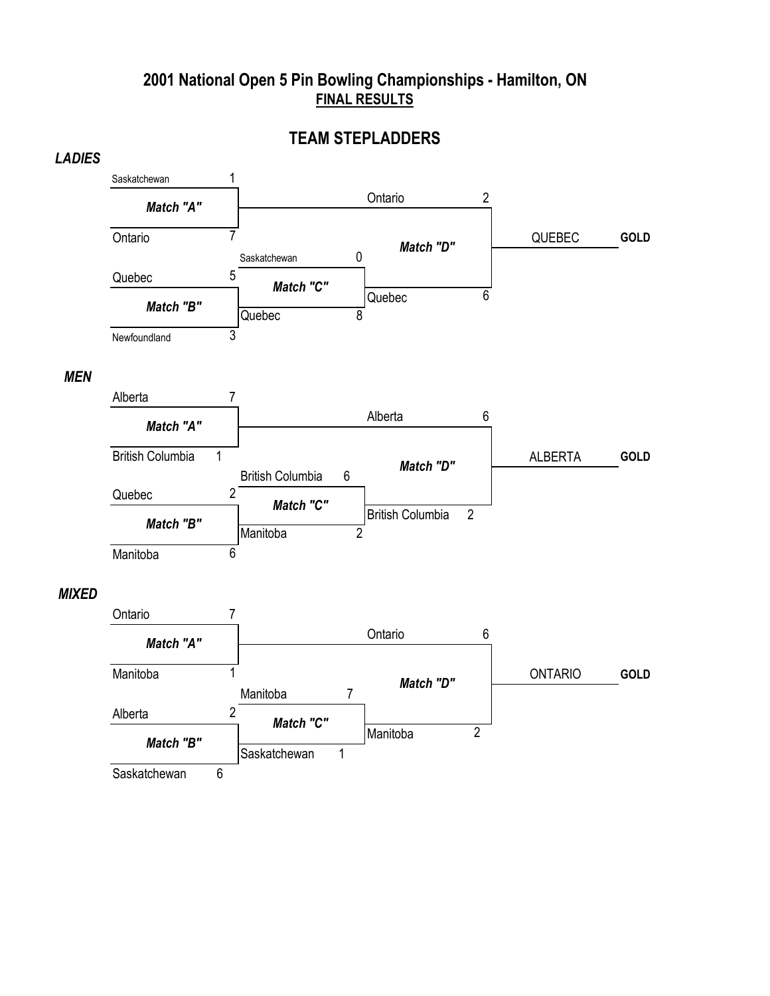### **TEAM STEPLADDERS**



#### *MEN*



#### *MIXED*

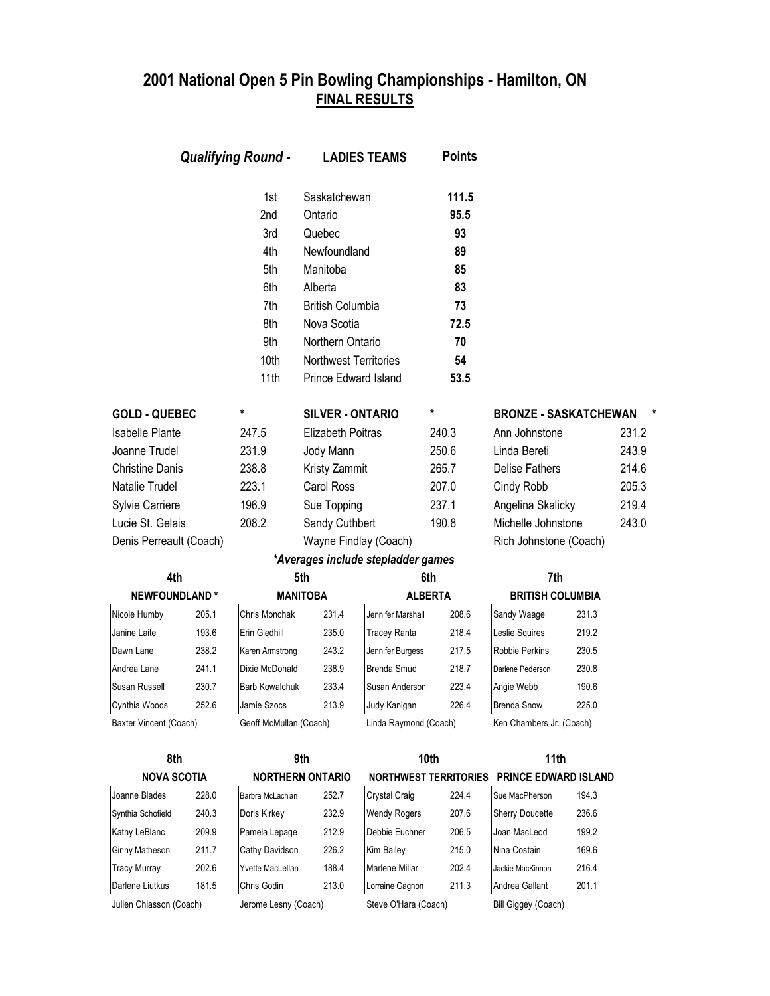|                         |       | <b>Qualifying Round -</b> |                              | <b>LADIES TEAMS</b>                | <b>Points</b>                |                              |       |       |
|-------------------------|-------|---------------------------|------------------------------|------------------------------------|------------------------------|------------------------------|-------|-------|
|                         |       | 1st                       | Saskatchewan                 |                                    | 111.5                        |                              |       |       |
|                         |       | 2nd                       | Ontario                      |                                    | 95.5                         |                              |       |       |
|                         |       | 3rd                       | Quebec                       |                                    | 93                           |                              |       |       |
|                         |       | 4th                       | Newfoundland                 |                                    | 89                           |                              |       |       |
|                         |       | 5th                       | Manitoba                     |                                    | 85                           |                              |       |       |
|                         |       | 6th                       | Alberta                      |                                    | 83                           |                              |       |       |
|                         |       | 7th                       | <b>British Columbia</b>      |                                    | 73                           |                              |       |       |
|                         |       | 8th                       | Nova Scotia                  |                                    | 72.5                         |                              |       |       |
|                         |       | 9th                       | Northern Ontario             |                                    | 70                           |                              |       |       |
|                         |       | 10th                      | <b>Northwest Territories</b> |                                    | 54                           |                              |       |       |
|                         |       | 11th                      | Prince Edward Island         |                                    | 53.5                         |                              |       |       |
| <b>GOLD - QUEBEC</b>    |       | *                         | <b>SILVER - ONTARIO</b>      |                                    | *                            | <b>BRONZE - SASKATCHEWAN</b> |       |       |
| <b>Isabelle Plante</b>  |       | 247.5                     | Elizabeth Poitras            |                                    | 240.3                        | Ann Johnstone                |       | 231.2 |
| Joanne Trudel           |       | 231.9                     | Jody Mann                    |                                    | 250.6                        | Linda Bereti                 |       | 243.9 |
| <b>Christine Danis</b>  |       | 238.8                     | Kristy Zammit                |                                    | 265.7                        | <b>Delise Fathers</b>        |       | 214.6 |
| Natalie Trudel          |       | 223.1                     | <b>Carol Ross</b>            |                                    | 207.0                        | Cindy Robb                   |       | 205.3 |
| Sylvie Carriere         |       | 196.9                     | Sue Topping                  |                                    | 237.1                        | Angelina Skalicky            |       | 219.4 |
| Lucie St. Gelais        |       | 208.2                     | Sandy Cuthbert               |                                    | 190.8                        | Michelle Johnstone           |       | 243.0 |
| Denis Perreault (Coach) |       |                           | Wayne Findlay (Coach)        |                                    |                              | Rich Johnstone (Coach)       |       |       |
|                         |       |                           |                              | *Averages include stepladder games |                              |                              |       |       |
| 4th                     |       |                           | 5th                          |                                    | 6th                          | 7th                          |       |       |
| <b>NEWFOUNDLAND*</b>    |       |                           | <b>MANITOBA</b>              |                                    | <b>ALBERTA</b>               | <b>BRITISH COLUMBIA</b>      |       |       |
| Nicole Humby            | 205.1 | Chris Monchak             | 231.4                        | Jennifer Marshall                  | 208.6                        | Sandy Waage                  | 231.3 |       |
| Janine Laite            | 193.6 | Erin Gledhill             | 235.0                        | <b>Tracey Ranta</b>                | 218.4                        | Leslie Squires               | 219.2 |       |
| Dawn Lane               | 238.2 | Karen Armstrong           | 243.2                        | Jennifer Burgess                   | 217.5                        | <b>Robbie Perkins</b>        | 230.5 |       |
| Andrea Lane             | 241.1 | Dixie McDonald            | 238.9                        | Brenda Smud                        | 218.7                        | Darlene Pederson             | 230.8 |       |
| Susan Russell           | 230.7 | Barb Kowalchuk            | 233.4                        | Susan Anderson                     | 223.4                        | Angie Webb                   | 190.6 |       |
| Cynthia Woods           | 252.6 | Jamie Szocs               | 213.9                        | Judy Kanigan                       | 226.4                        | <b>Brenda Snow</b>           | 225.0 |       |
| Baxter Vincent (Coach)  |       | Geoff McMullan (Coach)    |                              | Linda Raymond (Coach)              |                              | Ken Chambers Jr. (Coach)     |       |       |
| 8th                     |       |                           | 9th                          |                                    | 10th                         | 11th                         |       |       |
| <b>NOVA SCOTIA</b>      |       |                           | <b>NORTHERN ONTARIO</b>      |                                    | <b>NORTHWEST TERRITORIES</b> | <b>PRINCE EDWARD ISLAND</b>  |       |       |
| Joanne Blades           | 228.0 | Barbra McLachlan          | 252.7                        | Crystal Craig                      | 224.4                        | Sue MacPherson               | 194.3 |       |
| Synthia Schofield       | 240.3 | Doris Kirkey              | 232.9                        | <b>Wendy Rogers</b>                | 207.6                        | Sherry Doucette              | 236.6 |       |
| Kathy LeBlanc           | 209.9 | Pamela Lepage             | 212.9                        | Debbie Euchner                     | 206.5                        | Joan MacLeod                 | 199.2 |       |
| Ginny Matheson          | 211.7 | Cathy Davidson            | 226.2                        | Kim Bailey                         | 215.0                        | Nina Costain                 | 169.6 |       |
| <b>Tracy Murray</b>     | 202.6 | Yvette MacLellan          | 188.4                        | Marlene Millar                     | 202.4                        | Jackie MacKinnon             | 216.4 |       |
| Darlene Liutkus         | 181.5 | Chris Godin               | 213.0                        | Lorraine Gagnon                    | 211.3                        | Andrea Gallant               | 201.1 |       |
| Julien Chiasson (Coach) |       | Jerome Lesny (Coach)      |                              | Steve O'Hara (Coach)               |                              | Bill Giggey (Coach)          |       |       |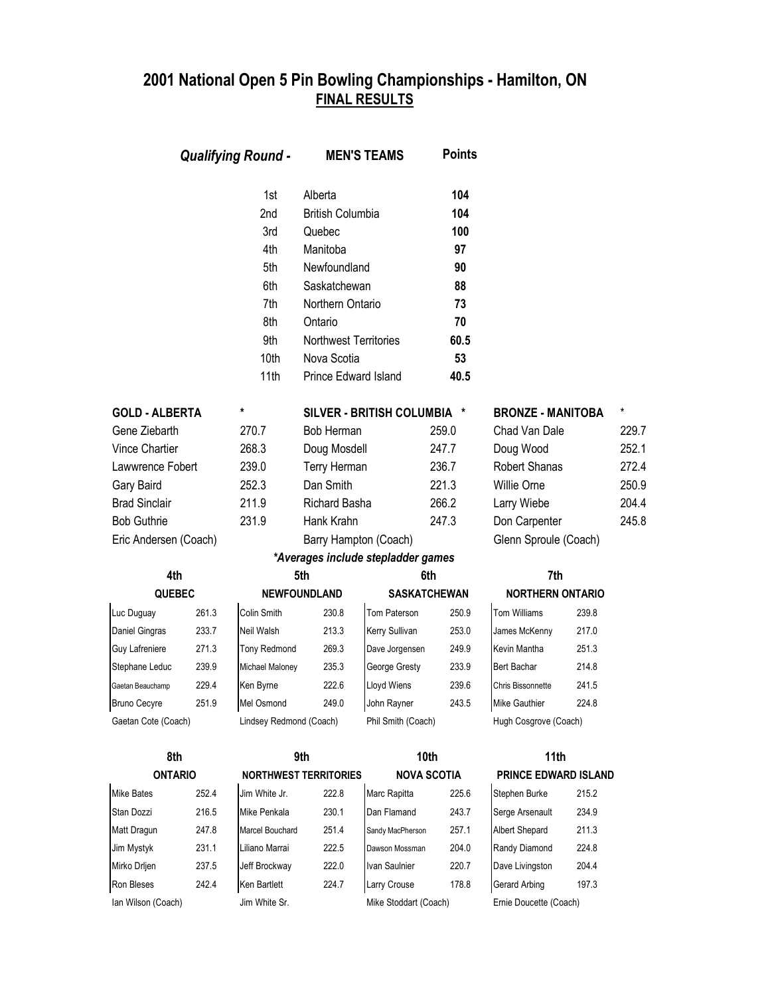|                       |       | <b>Qualifying Round -</b> |                              | <b>MEN'S TEAMS</b>                 | <b>Points</b>       |                          |       |       |
|-----------------------|-------|---------------------------|------------------------------|------------------------------------|---------------------|--------------------------|-------|-------|
|                       |       | 1st                       | Alberta                      |                                    | 104                 |                          |       |       |
|                       |       | 2nd                       | <b>British Columbia</b>      |                                    | 104                 |                          |       |       |
|                       |       | 3rd                       | Quebec                       |                                    | 100                 |                          |       |       |
|                       |       | 4th                       | Manitoba                     |                                    | 97                  |                          |       |       |
|                       |       | 5th                       | Newfoundland                 |                                    | 90                  |                          |       |       |
|                       |       | 6th                       | Saskatchewan                 |                                    | 88                  |                          |       |       |
|                       |       | 7th                       | Northern Ontario             |                                    | 73                  |                          |       |       |
|                       |       | 8th                       | Ontario                      |                                    | 70                  |                          |       |       |
|                       |       | 9th                       | <b>Northwest Territories</b> |                                    | 60.5                |                          |       |       |
|                       |       | 10th                      | Nova Scotia                  |                                    | 53                  |                          |       |       |
|                       |       | 11th                      | Prince Edward Island         |                                    | 40.5                |                          |       |       |
| <b>GOLD - ALBERTA</b> |       | *                         |                              | SILVER - BRITISH COLUMBIA *        |                     | <b>BRONZE - MANITOBA</b> |       | *     |
| Gene Ziebarth         |       | 270.7                     | Bob Herman                   |                                    | 259.0               | Chad Van Dale            |       | 229.7 |
| Vince Chartier        |       | 268.3                     | Doug Mosdell                 |                                    | 247.7               | Doug Wood                |       | 252.1 |
| Lawwrence Fobert      |       | 239.0                     | Terry Herman                 |                                    | 236.7               | <b>Robert Shanas</b>     |       | 272.4 |
| Gary Baird            |       | 252.3                     | Dan Smith                    |                                    | 221.3               | Willie Orne              |       | 250.9 |
| <b>Brad Sinclair</b>  |       | 211.9                     |                              | Richard Basha<br>266.2             |                     | Larry Wiebe              |       | 204.4 |
| <b>Bob Guthrie</b>    | 231.9 |                           | Hank Krahn                   |                                    | 247.3               | Don Carpenter            |       | 245.8 |
| Eric Andersen (Coach) |       |                           | Barry Hampton (Coach)        |                                    |                     | Glenn Sproule (Coach)    |       |       |
|                       |       |                           |                              | *Averages include stepladder games |                     |                          |       |       |
| 4th                   |       |                           | 5th                          |                                    | 6th                 | 7th                      |       |       |
| <b>QUEBEC</b>         |       |                           | <b>NEWFOUNDLAND</b>          |                                    | <b>SASKATCHEWAN</b> | <b>NORTHERN ONTARIO</b>  |       |       |
| Luc Duguay            | 261.3 | Colin Smith               | 230.8                        | Tom Paterson                       | 250.9               | <b>Tom Williams</b>      | 239.8 |       |
| Daniel Gingras        | 233.7 | Neil Walsh                | 213.3                        | Kerry Sullivan                     | 253.0               | James McKenny            | 217.0 |       |
| Guy Lafreniere        | 271.3 | Tony Redmond              | 269.3                        | Dave Jorgensen                     | 249.9               | Kevin Mantha             | 251.3 |       |
| Stephane Leduc        | 239.9 | Michael Maloney           | 235.3                        | George Gresty                      | 233.9               | Bert Bachar              | 214.8 |       |
| Gaetan Beauchamp      | 229.4 | Ken Byrne                 | 222.6                        | Lloyd Wiens                        | 239.6               | Chris Bissonnette        | 241.5 |       |
| <b>Bruno Cecyre</b>   | 251.9 | Mel Osmond                | 249.0                        | John Rayner                        | 243.5               | Mike Gauthier            | 224.8 |       |
| Gaetan Cote (Coach)   |       | Lindsey Redmond (Coach)   |                              | Phil Smith (Coach)                 |                     | Hugh Cosgrove (Coach)    |       |       |
| 8th                   |       | 9th                       | 10th                         |                                    | 11th                |                          |       |       |
| <b>ONTARIO</b>        |       |                           | <b>NORTHWEST TERRITORIES</b> |                                    | <b>NOVA SCOTIA</b>  | PRINCE EDWARD ISLAND     |       |       |
| <b>Mike Bates</b>     | 252.4 | Jim White Jr.             | 222.8                        | Marc Rapitta                       | 225.6               | Stephen Burke            | 215.2 |       |
| Stan Dozzi            | 216.5 | Mike Penkala              | 230.1                        | Dan Flamand                        | 243.7               | Serge Arsenault          | 234.9 |       |
| Matt Dragun           | 247.8 | Marcel Bouchard           | 251.4                        | Sandy MacPherson                   | 257.1               | Albert Shepard           | 211.3 |       |
| Jim Mystyk            | 231.1 | Liliano Marrai            | 222.5                        | Dawson Mossman                     | 204.0               | Randy Diamond            | 224.8 |       |
| Mirko Drljen          | 237.5 | Jeff Brockway             | 222.0                        | Ivan Saulnier                      | 220.7               | Dave Livingston          | 204.4 |       |
| Ron Bleses            | 242.4 | Ken Bartlett              | 224.7                        | Larry Crouse                       | 178.8               | Gerard Arbing            | 197.3 |       |

Ian Wilson (Coach) Jim White Sr. Mike Stoddart (Coach) Ernie Doucette (Coach)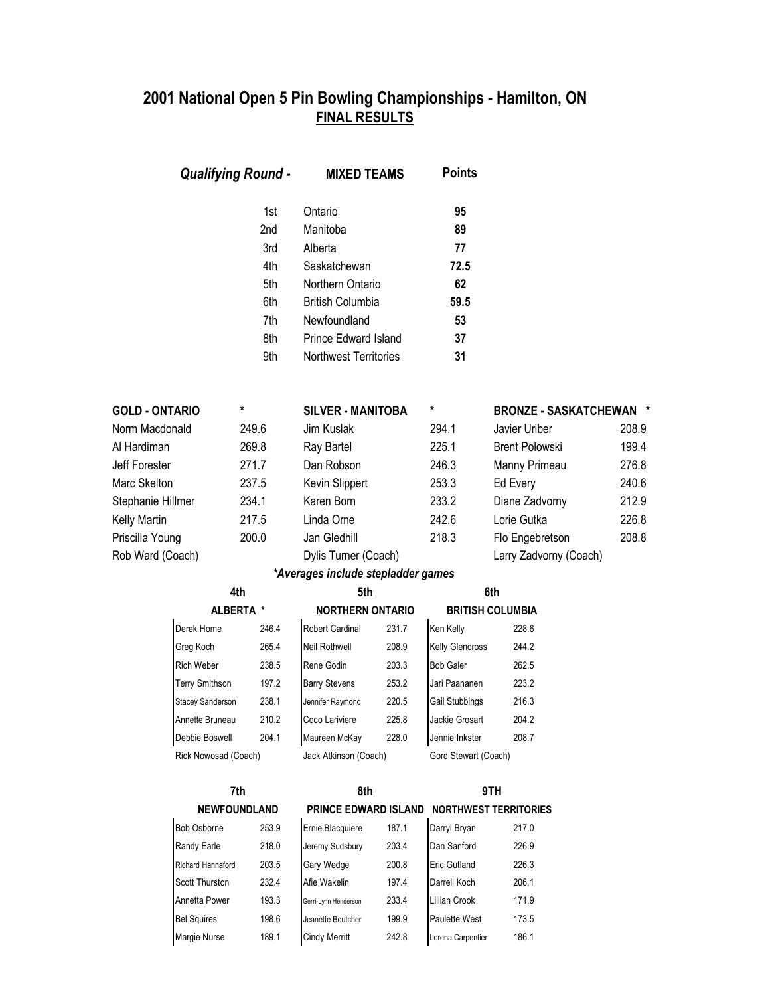|                                         | <b>Qualifying Round -</b> |                                                      | <b>MIXED TEAMS</b>                                                                                                                           |       | <b>Points</b>                                    |                                                 |       |
|-----------------------------------------|---------------------------|------------------------------------------------------|----------------------------------------------------------------------------------------------------------------------------------------------|-------|--------------------------------------------------|-------------------------------------------------|-------|
|                                         |                           | 1st<br>2nd<br>3rd<br>4th<br>5th<br>6th<br>7th<br>8th | Ontario<br>Manitoba<br>Alberta<br>Saskatchewan<br>Northern Ontario<br><b>British Columbia</b><br>Newfoundland<br><b>Prince Edward Island</b> |       | 95<br>89<br>77<br>72.5<br>62<br>59.5<br>53<br>37 |                                                 |       |
|                                         |                           | 9th                                                  | Northwest Territories                                                                                                                        |       | 31                                               |                                                 |       |
| <b>GOLD - ONTARIO</b><br>Norm Macdonald |                           | *<br>249.6                                           | <b>SILVER - MANITOBA</b><br>Jim Kuslak                                                                                                       |       | *<br>294.1                                       | <b>BRONZE - SASKATCHEWAN *</b><br>Javier Uriber | 208.9 |
| Al Hardiman                             |                           | 269.8                                                | Ray Bartel                                                                                                                                   |       | 225.1                                            | <b>Brent Polowski</b>                           | 199.4 |
| Jeff Forester                           |                           | 271.7                                                | Dan Robson                                                                                                                                   |       | 246.3                                            | Manny Primeau                                   | 276.8 |
| Marc Skelton                            |                           | 237.5                                                | Kevin Slippert                                                                                                                               |       | 253.3                                            | Ed Every                                        | 240.6 |
| Stephanie Hillmer                       |                           | 234.1                                                | Karen Born                                                                                                                                   |       | 233.2                                            | Diane Zadvorny                                  | 212.9 |
| Kelly Martin                            |                           | 217.5                                                | Linda Orne                                                                                                                                   |       | 242.6                                            | Lorie Gutka                                     | 226.8 |
| Priscilla Young                         |                           | 200.0                                                | Jan Gledhill                                                                                                                                 |       | 218.3                                            | Flo Engebretson                                 | 208.8 |
| Rob Ward (Coach)                        |                           |                                                      | Dylis Turner (Coach)<br>*Averages include stepladder games                                                                                   |       |                                                  | Larry Zadvorny (Coach)                          |       |
|                                         | 4th                       |                                                      | 5th                                                                                                                                          |       |                                                  | 6th                                             |       |
|                                         | ALBERTA *                 |                                                      | <b>NORTHERN ONTARIO</b>                                                                                                                      |       |                                                  | <b>BRITISH COLUMBIA</b>                         |       |
|                                         | Derek Home                | 246.4                                                | <b>Robert Cardinal</b>                                                                                                                       | 231.7 | Ken Kelly                                        | 228.6                                           |       |
|                                         | Greg Koch                 | 265.4                                                | <b>Neil Rothwell</b>                                                                                                                         | 208.9 | Kelly Glencross                                  | 244.2                                           |       |
|                                         | <b>Rich Weber</b>         | 238.5                                                | Rene Godin                                                                                                                                   | 203.3 | <b>Bob Galer</b>                                 | 262.5                                           |       |
|                                         | <b>Terry Smithson</b>     | 197.2                                                | <b>Barry Stevens</b>                                                                                                                         | 253.2 | Jari Paananen                                    | 223.2                                           |       |
|                                         | Stacey Sanderson          | 238.1                                                | Jennifer Raymond                                                                                                                             | 220.5 | Gail Stubbings                                   | 216.3                                           |       |
|                                         | Annette Bruneau           | 210.2                                                | Coco Lariviere                                                                                                                               | 225.8 | Jackie Grosart                                   | 204.2                                           |       |
|                                         | Debbie Boswell            | 204.1                                                | Maureen McKay                                                                                                                                | 228.0 | Jennie Inkster                                   | 208.7                                           |       |
|                                         | Rick Nowosad (Coach)      |                                                      | Jack Atkinson (Coach)                                                                                                                        |       | Gord Stewart (Coach)                             |                                                 |       |
| 7th                                     |                           | 8th                                                  |                                                                                                                                              |       | 9TH                                              |                                                 |       |
|                                         | <b>NEWFOUNDLAND</b>       |                                                      | <b>PRINCE EDWARD ISLAND</b>                                                                                                                  |       |                                                  | <b>NORTHWEST TERRITORIES</b>                    |       |
|                                         | <b>Bob Osborne</b>        | 253.9                                                | Ernie Blacquiere                                                                                                                             | 187.1 | Darryl Bryan                                     | 217.0                                           |       |
|                                         | Randy Earle               | 218.0                                                | Jeremy Sudsbury                                                                                                                              | 203.4 | Dan Sanford                                      | 226.9                                           |       |
|                                         | Richard Hannaford         | 203.5                                                | Gary Wedge                                                                                                                                   | 200.8 | Eric Gutland                                     | 226.3                                           |       |
|                                         | Scott Thurston            | 232.4                                                | Afie Wakelin                                                                                                                                 | 197.4 | Darrell Koch                                     | 206.1                                           |       |
|                                         | Annetta Power             | 193.3                                                | Gerri-Lynn Henderson                                                                                                                         | 233.4 | Lillian Crook                                    | 171.9                                           |       |
|                                         | <b>Bel Squires</b>        | 198.6                                                | Jeanette Boutcher                                                                                                                            | 199.9 | Paulette West                                    | 173.5                                           |       |
|                                         | Margie Nurse              | 189.1                                                | <b>Cindy Merritt</b>                                                                                                                         | 242.8 | Lorena Carpentier                                | 186.1                                           |       |